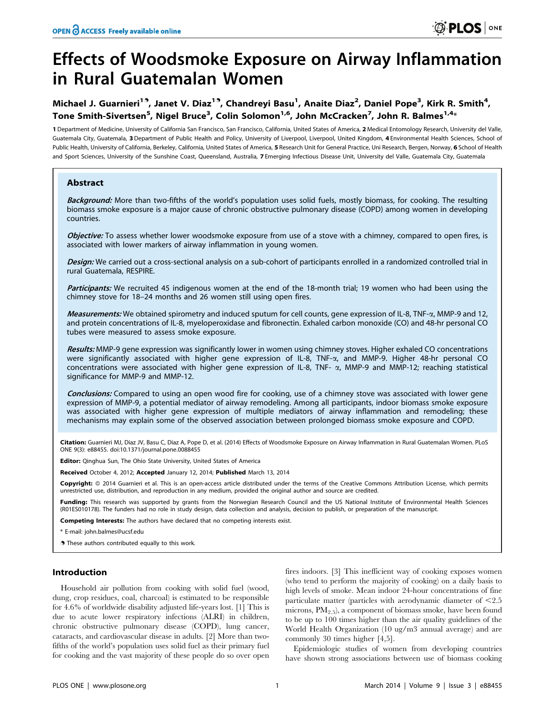# Effects of Woodsmoke Exposure on Airway Inflammation in Rural Guatemalan Women

## Michael J. Guarnieri<sup>19</sup>, Janet V. Diaz<sup>19</sup>, Chandreyi Basu<sup>1</sup>, Anaite Diaz<sup>2</sup>, Daniel Pope<sup>3</sup>, Kirk R. Smith<sup>4</sup>, Tone Smith-Sivertsen<sup>5</sup>, Nigel Bruce<sup>3</sup>, Colin Solomon<sup>1,6</sup>, John McCracken<sup>7</sup>, John R. Balmes<sup>1,4</sup>\*

1 Department of Medicine, University of California San Francisco, San Francisco, California, United States of America, 2 Medical Entomology Research, University del Valle, Guatemala City, Guatemala, 3 Department of Public Health and Policy, University of Liverpool, Liverpool, United Kingdom, 4 Environmental Health Sciences, School of Public Health, University of California, Berkeley, California, United States of America, 5 Research Unit for General Practice, Uni Research, Bergen, Norway, 6 School of Health and Sport Sciences, University of the Sunshine Coast, Queensland, Australia, 7 Emerging Infectious Disease Unit, University del Valle, Guatemala City, Guatemala

## Abstract

Background: More than two-fifths of the world's population uses solid fuels, mostly biomass, for cooking. The resulting biomass smoke exposure is a major cause of chronic obstructive pulmonary disease (COPD) among women in developing countries.

Objective: To assess whether lower woodsmoke exposure from use of a stove with a chimney, compared to open fires, is associated with lower markers of airway inflammation in young women.

Design: We carried out a cross-sectional analysis on a sub-cohort of participants enrolled in a randomized controlled trial in rural Guatemala, RESPIRE.

Participants: We recruited 45 indigenous women at the end of the 18-month trial; 19 women who had been using the chimney stove for 18–24 months and 26 women still using open fires.

Measurements: We obtained spirometry and induced sputum for cell counts, gene expression of IL-8, TNF- $\alpha$ , MMP-9 and 12, and protein concentrations of IL-8, myeloperoxidase and fibronectin. Exhaled carbon monoxide (CO) and 48-hr personal CO tubes were measured to assess smoke exposure.

Results: MMP-9 gene expression was significantly lower in women using chimney stoves. Higher exhaled CO concentrations were significantly associated with higher gene expression of IL-8, TNF-a, and MMP-9. Higher 48-hr personal CO concentrations were associated with higher gene expression of IL-8, TNF-  $\alpha$ , MMP-9 and MMP-12; reaching statistical significance for MMP-9 and MMP-12.

Conclusions: Compared to using an open wood fire for cooking, use of a chimney stove was associated with lower gene expression of MMP-9, a potential mediator of airway remodeling. Among all participants, indoor biomass smoke exposure was associated with higher gene expression of multiple mediators of airway inflammation and remodeling; these mechanisms may explain some of the observed association between prolonged biomass smoke exposure and COPD.

Citation: Guarnieri MJ, Diaz JV, Basu C, Diaz A, Pope D, et al. (2014) Effects of Woodsmoke Exposure on Airway Inflammation in Rural Guatemalan Women. PLoS ONE 9(3): e88455. doi:10.1371/journal.pone.0088455

Editor: Qinghua Sun, The Ohio State University, United States of America

Received October 4, 2012; Accepted January 12, 2014; Published March 13, 2014

Copyright: © 2014 Guarnieri et al. This is an open-access article distributed under the terms of the [Creative Commons Attribution License,](http://creativecommons.org/licenses/by/4.0/) which permits unrestricted use, distribution, and reproduction in any medium, provided the original author and source are credited.

Funding: This research was supported by grants from the Norwegian Research Council and the US National Institute of Environmental Health Sciences (R01ES010178). The funders had no role in study design, data collection and analysis, decision to publish, or preparation of the manuscript.

Competing Interests: The authors have declared that no competing interests exist.

\* E-mail: john.balmes@ucsf.edu

**.** These authors contributed equally to this work.

## Introduction

Household air pollution from cooking with solid fuel (wood, dung, crop residues, coal, charcoal) is estimated to be responsible for 4.6% of worldwide disability adjusted life-years lost. [1] This is due to acute lower respiratory infections (ALRI) in children, chronic obstructive pulmonary disease (COPD), lung cancer, cataracts, and cardiovascular disease in adults. [2] More than twofifths of the world's population uses solid fuel as their primary fuel for cooking and the vast majority of these people do so over open

fires indoors. [3] This inefficient way of cooking exposes women (who tend to perform the majority of cooking) on a daily basis to high levels of smoke. Mean indoor 24-hour concentrations of fine particulate matter (particles with aerodynamic diameter of  $\leq 2.5$ ) microns,  $PM_{2.5}$ , a component of biomass smoke, have been found to be up to 100 times higher than the air quality guidelines of the World Health Organization (10 ug/m3 annual average) and are commonly 30 times higher [4,5].

Epidemiologic studies of women from developing countries have shown strong associations between use of biomass cooking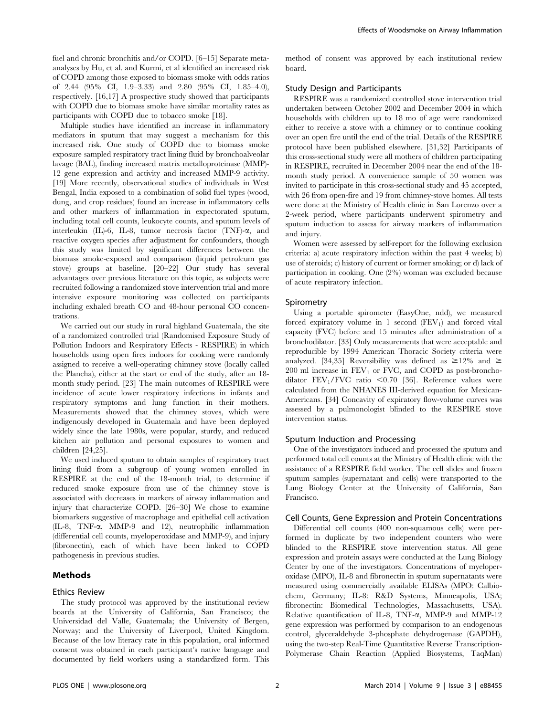fuel and chronic bronchitis and/or COPD. [6–15] Separate metaanalyses by Hu, et al. and Kurmi, et al identified an increased risk of COPD among those exposed to biomass smoke with odds ratios of 2.44 (95% CI, 1.9–3.33) and 2.80 (95% CI, 1.85–4.0), respectively. [16,17] A prospective study showed that participants with COPD due to biomass smoke have similar mortality rates as participants with COPD due to tobacco smoke [18].

Multiple studies have identified an increase in inflammatory mediators in sputum that may suggest a mechanism for this increased risk. One study of COPD due to biomass smoke exposure sampled respiratory tract lining fluid by bronchoalveolar lavage (BAL), finding increased matrix metalloproteinase (MMP)- 12 gene expression and activity and increased MMP-9 activity. [19] More recently, observational studies of individuals in West Bengal, India exposed to a combination of solid fuel types (wood, dung, and crop residues) found an increase in inflammatory cells and other markers of inflammation in expectorated sputum, including total cell counts, leukocyte counts, and sputum levels of interleukin (IL)-6, IL-8, tumor necrosis factor (TNF)-a, and reactive oxygen species after adjustment for confounders, though this study was limited by significant differences between the biomass smoke-exposed and comparison (liquid petroleum gas stove) groups at baseline. [20–22] Our study has several advantages over previous literature on this topic, as subjects were recruited following a randomized stove intervention trial and more intensive exposure monitoring was collected on participants including exhaled breath CO and 48-hour personal CO concentrations.

We carried out our study in rural highland Guatemala, the site of a randomized controlled trial (Randomised Exposure Study of Pollution Indoors and Respiratory Effects - RESPIRE) in which households using open fires indoors for cooking were randomly assigned to receive a well-operating chimney stove (locally called the Plancha), either at the start or end of the study, after an 18 month study period. [23] The main outcomes of RESPIRE were incidence of acute lower respiratory infections in infants and respiratory symptoms and lung function in their mothers. Measurements showed that the chimney stoves, which were indigenously developed in Guatemala and have been deployed widely since the late 1980s, were popular, sturdy, and reduced kitchen air pollution and personal exposures to women and children [24,25].

We used induced sputum to obtain samples of respiratory tract lining fluid from a subgroup of young women enrolled in RESPIRE at the end of the 18-month trial, to determine if reduced smoke exposure from use of the chimney stove is associated with decreases in markers of airway inflammation and injury that characterize COPD. [26–30] We chose to examine biomarkers suggestive of macrophage and epithelial cell activation (IL-8, TNF-a, MMP-9 and 12), neutrophilic inflammation (differential cell counts, myeloperoxidase and MMP-9), and injury (fibronectin), each of which have been linked to COPD pathogenesis in previous studies.

## Methods

## Ethics Review

The study protocol was approved by the institutional review boards at the University of California, San Francisco; the Universidad del Valle, Guatemala; the University of Bergen, Norway; and the University of Liverpool, United Kingdom. Because of the low literacy rate in this population, oral informed consent was obtained in each participant's native language and documented by field workers using a standardized form. This

method of consent was approved by each institutional review board.

## Study Design and Participants

RESPIRE was a randomized controlled stove intervention trial undertaken between October 2002 and December 2004 in which households with children up to 18 mo of age were randomized either to receive a stove with a chimney or to continue cooking over an open fire until the end of the trial. Details of the RESPIRE protocol have been published elsewhere. [31,32] Participants of this cross-sectional study were all mothers of children participating in RESPIRE, recruited in December 2004 near the end of the 18 month study period. A convenience sample of 50 women was invited to participate in this cross-sectional study and 45 accepted, with 26 from open-fire and 19 from chimney-stove homes. All tests were done at the Ministry of Health clinic in San Lorenzo over a 2-week period, where participants underwent spirometry and sputum induction to assess for airway markers of inflammation and injury.

Women were assessed by self-report for the following exclusion criteria: a) acute respiratory infection within the past 4 weeks; b) use of steroids; c) history of current or former smoking; or d) lack of participation in cooking. One (2%) woman was excluded because of acute respiratory infection.

#### Spirometry

Using a portable spirometer (EasyOne, ndd), we measured forced expiratory volume in 1 second  $(FEV_1)$  and forced vital capacity (FVC) before and 15 minutes after administration of a bronchodilator. [33] Only measurements that were acceptable and reproducible by 1994 American Thoracic Society criteria were analyzed. [34,35] Reversibility was defined as  $\geq 12\%$  and  $\geq$  $200$  ml increase in  $FEV<sub>1</sub>$  or FVC, and COPD as post-bronchodilator  $FEV<sub>1</sub>/FVC$  ratio <0.70 [36]. Reference values were calculated from the NHANES III-derived equation for Mexican-Americans. [34] Concavity of expiratory flow-volume curves was assessed by a pulmonologist blinded to the RESPIRE stove intervention status.

## Sputum Induction and Processing

One of the investigators induced and processed the sputum and performed total cell counts at the Ministry of Health clinic with the assistance of a RESPIRE field worker. The cell slides and frozen sputum samples (supernatant and cells) were transported to the Lung Biology Center at the University of California, San Francisco.

## Cell Counts, Gene Expression and Protein Concentrations

Differential cell counts (400 non-squamous cells) were performed in duplicate by two independent counters who were blinded to the RESPIRE stove intervention status. All gene expression and protein assays were conducted at the Lung Biology Center by one of the investigators. Concentrations of myeloperoxidase (MPO), IL-8 and fibronectin in sputum supernatants were measured using commercially available ELISAs (MPO: Calbiochem, Germany; IL-8: R&D Systems, Minneapolis, USA; fibronectin: Biomedical Technologies, Massachusetts, USA). Relative quantification of IL-8, TNF-a, MMP-9 and MMP-12 gene expression was performed by comparison to an endogenous control, glyceraldehyde 3-phosphate dehydrogenase (GAPDH), using the two-step Real-Time Quantitative Reverse Transcription-Polymerase Chain Reaction (Applied Biosystems, TaqMan)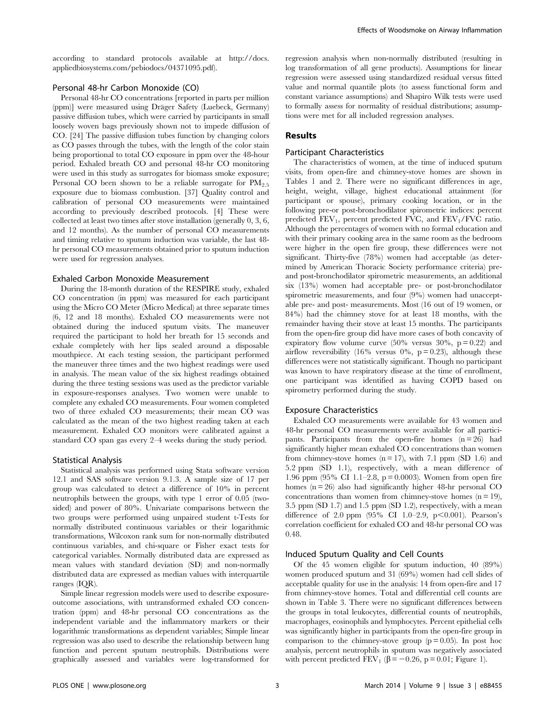according to standard protocols available at [http://docs.](http://docs.appliedbiosystems.com/pebiodocs/04371095.pdf) [appliedbiosystems.com/pebiodocs/04371095.pdf\)](http://docs.appliedbiosystems.com/pebiodocs/04371095.pdf).

## Personal 48-hr Carbon Monoxide (CO)

Personal 48-hr CO concentrations [reported in parts per million (ppm)] were measured using Dräger Safety (Luebeck, Germany) passive diffusion tubes, which were carried by participants in small loosely woven bags previously shown not to impede diffusion of CO. [24] The passive diffusion tubes function by changing colors as CO passes through the tubes, with the length of the color stain being proportional to total CO exposure in ppm over the 48-hour period. Exhaled breath CO and personal 48-hr CO monitoring were used in this study as surrogates for biomass smoke exposure; Personal CO been shown to be a reliable surrogate for  $PM_{2.5}$ exposure due to biomass combustion. [37] Quality control and calibration of personal CO measurements were maintained according to previously described protocols. [4] These were collected at least two times after stove installation (generally 0, 3, 6, and 12 months). As the number of personal CO measurements and timing relative to sputum induction was variable, the last 48 hr personal CO measurements obtained prior to sputum induction were used for regression analyses.

#### Exhaled Carbon Monoxide Measurement

During the 18-month duration of the RESPIRE study, exhaled CO concentration (in ppm) was measured for each participant using the Micro CO Meter (Micro Medical) at three separate times (6, 12 and 18 months). Exhaled CO measurements were not obtained during the induced sputum visits. The maneuver required the participant to hold her breath for 15 seconds and exhale completely with her lips sealed around a disposable mouthpiece. At each testing session, the participant performed the maneuver three times and the two highest readings were used in analysis. The mean value of the six highest readings obtained during the three testing sessions was used as the predictor variable in exposure-responses analyses. Two women were unable to complete any exhaled CO measurements. Four women completed two of three exhaled CO measurements; their mean CO was calculated as the mean of the two highest reading taken at each measurement. Exhaled CO monitors were calibrated against a standard CO span gas every 2–4 weeks during the study period.

#### Statistical Analysis

Statistical analysis was performed using Stata software version 12.1 and SAS software version 9.1.3. A sample size of 17 per group was calculated to detect a difference of 10% in percent neutrophils between the groups, with type 1 error of 0.05 (twosided) and power of 80%. Univariate comparisons between the two groups were performed using unpaired student t-Tests for normally distributed continuous variables or their logarithmic transformations, Wilcoxon rank sum for non-normally distributed continuous variables, and chi-square or Fisher exact tests for categorical variables. Normally distributed data are expressed as mean values with standard deviation (SD) and non-normally distributed data are expressed as median values with interquartile ranges (IQR).

Simple linear regression models were used to describe exposureoutcome associations, with untransformed exhaled CO concentration (ppm) and 48-hr personal CO concentrations as the independent variable and the inflammatory markers or their logarithmic transformations as dependent variables; Simple linear regression was also used to describe the relationship between lung function and percent sputum neutrophils. Distributions were graphically assessed and variables were log-transformed for regression analysis when non-normally distributed (resulting in log transformation of all gene products). Assumptions for linear regression were assessed using standardized residual versus fitted value and normal quantile plots (to assess functional form and constant variance assumptions) and Shapiro Wilk tests were used to formally assess for normality of residual distributions; assumptions were met for all included regression analyses.

#### Results

## Participant Characteristics

The characteristics of women, at the time of induced sputum visits, from open-fire and chimney-stove homes are shown in Tables 1 and 2. There were no significant differences in age, height, weight, village, highest educational attainment (for participant or spouse), primary cooking location, or in the following pre-or post-bronchodilator spirometric indices: percent predicted  $FEV_1$ , percent predicted  $FVC$ , and  $FEV_1/FVC$  ratio. Although the percentages of women with no formal education and with their primary cooking area in the same room as the bedroom were higher in the open fire group, these differences were not significant. Thirty-five (78%) women had acceptable (as determined by American Thoracic Society performance criteria) preand post-bronchodilator spirometric measurements, an additional six (13%) women had acceptable pre- or post-bronchodilator spirometric measurements, and four (9%) women had unacceptable pre- and post- measurements. Most (16 out of 19 women, or 84%) had the chimney stove for at least 18 months, with the remainder having their stove at least 15 months. The participants from the open-fire group did have more cases of both concavity of expiratory flow volume curve  $(50\%$  versus  $30\%$ , p = 0.22) and airflow reversibility (16% versus 0%,  $p = 0.23$ ), although these differences were not statistically significant. Though no participant was known to have respiratory disease at the time of enrollment, one participant was identified as having COPD based on spirometry performed during the study.

## Exposure Characteristics

Exhaled CO measurements were available for 43 women and 48-hr personal CO measurements were available for all participants. Participants from the open-fire homes  $(n = 26)$  had significantly higher mean exhaled CO concentrations than women from chimney-stove homes  $(n = 17)$ , with 7.1 ppm  $(SD 1.6)$  and 5.2 ppm (SD 1.1), respectively, with a mean difference of 1.96 ppm (95% CI 1.1–2.8, p = 0.0003). Women from open fire homes  $(n = 26)$  also had significantly higher 48-hr personal CO concentrations than women from chimney-stove homes  $(n = 19)$ , 3.5 ppm (SD 1.7) and 1.5 ppm (SD 1.2), respectively, with a mean difference of 2.0 ppm  $(95\% \text{ CI } 1.0-2.9, \text{ p} < 0.001)$ . Pearson's correlation coefficient for exhaled CO and 48-hr personal CO was 0.48.

## Induced Sputum Quality and Cell Counts

Of the 45 women eligible for sputum induction, 40 (89%) women produced sputum and 31 (69%) women had cell slides of acceptable quality for use in the analysis: 14 from open-fire and 17 from chimney-stove homes. Total and differential cell counts are shown in Table 3. There were no significant differences between the groups in total leukocytes, differential counts of neutrophils, macrophages, eosinophils and lymphocytes. Percent epithelial cells was significantly higher in participants from the open-fire group in comparison to the chimney-stove group  $(p = 0.05)$ . In post hoc analysis, percent neutrophils in sputum was negatively associated with percent predicted  $\text{FEV}_1$  ( $\beta = -0.26$ , p = 0.01; Figure 1).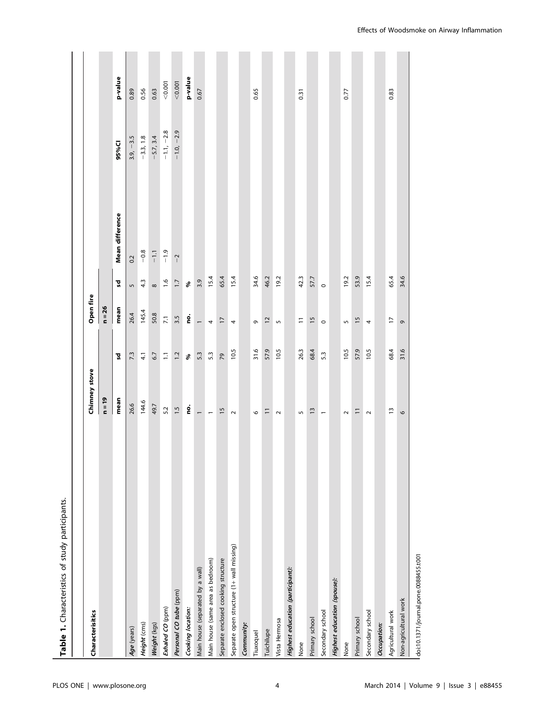| Table 1. Characteristics of study participants. |                          |          |                        |                  |                 |              |         |
|-------------------------------------------------|--------------------------|----------|------------------------|------------------|-----------------|--------------|---------|
|                                                 |                          |          |                        |                  |                 |              |         |
| Characterisitics                                | Chimney stove            |          | Open fire              |                  |                 |              |         |
|                                                 | $n = 19$                 |          | $n = 26$               |                  |                 |              |         |
|                                                 | mean                     | ិ៍       | mean                   | ۵Ś               | Mean difference | 95%CI        | p-value |
| Age (years)                                     | 26.6                     | 7.3      | 26.4                   | $\mathsf{L}\cap$ | 0.2             | $3.9, -3.5$  | 0.89    |
| Height (cms)                                    | 144.6                    | 4.1      | 145.4                  | 4.3              | $-0.8$          | $-3.3, 1.8$  | 0.56    |
| Weight (kgs)                                    | 49.7                     | 6.7      | 50.8                   | $\infty$         | $-1.1$          | $-5.7, 3.4$  | 0.63    |
| Exhaled CO (ppm)                                | 5.2                      | $\Xi$    | $\overline{7.1}$       | 1.6              | $-1.9$          | $-1.1, -2.8$ | < 0.001 |
| Personal CO tube (ppm)                          | $-1.5$                   | 1.2      | 3.5                    | 1.7              | $\overline{a}$  | $-1.0, -2.9$ | < 0.001 |
| Cooking location:                               | °                        | $\delta$ | <u>o</u>               | $\delta$         |                 |              | p-value |
| Main house (separated by a wall)                | $\overline{\phantom{0}}$ | 5.3      | $\overline{ }$         | 3.9              |                 |              | 0.67    |
| Main house (same area as bedroom)               | $\overline{\phantom{m}}$ | 5.3      | 4                      | 15.4             |                 |              |         |
| Separate enclosed cooking structure             | $\frac{15}{2}$           | 79       | $\overline{1}$         | 65.4             |                 |              |         |
| Separate open structure (1+ wall missing)       | $\sim$                   | 10.5     | 4                      | 15.4             |                 |              |         |
| Community:                                      |                          |          |                        |                  |                 |              |         |
| Tiuxoquel                                       | $\circ$                  | 31.6     | G                      | 34.6             |                 |              | 0.65    |
| Tuichilupe                                      | $\equiv$                 | 57.9     | $\overline{c}$         | 46.2             |                 |              |         |
| Vista Hermosa                                   | $\sim$                   | 10.5     | $\sqrt{2}$             | 19.2             |                 |              |         |
| Highest education (participant):                |                          |          |                        |                  |                 |              |         |
| None                                            | $\mathsf{L}\mathsf{D}$   | 26.3     | $\mathord{\text{--}}$  | 42.3             |                 |              | 0.31    |
| Primary school                                  | $\frac{13}{2}$           | 68.4     | 15                     | 57.7             |                 |              |         |
| Secondary school                                | $\overline{\phantom{m}}$ | 5.3      | $\circ$                | $\circ$          |                 |              |         |
| Highest education (spouse):                     |                          |          |                        |                  |                 |              |         |
| None                                            | $\sim$                   | 10.5     | $\mathsf{L}\mathsf{D}$ | 19.2             |                 |              | 0.77    |
| Primary school                                  | $\equiv$                 | 57.9     | 15                     | 53.9             |                 |              |         |
| Secondary school                                | $\sim$                   | 10.5     | 4                      | 15.4             |                 |              |         |
| Occupation:                                     |                          |          |                        |                  |                 |              |         |
| Agricultural work                               | $\tilde{1}$              | 68.4     | $\overline{1}$         | 65.4             |                 |              | 0.83    |
| Non-agricultural work                           | 9                        | 31.6     | G                      | 34.6             |                 |              |         |
|                                                 |                          |          |                        |                  |                 |              |         |

doi:10.1371/journal.pone.0088455.t001 doi:10.1371/journal.pone.0088455.t001

Effects of Woodsmoke on Airway Inflammation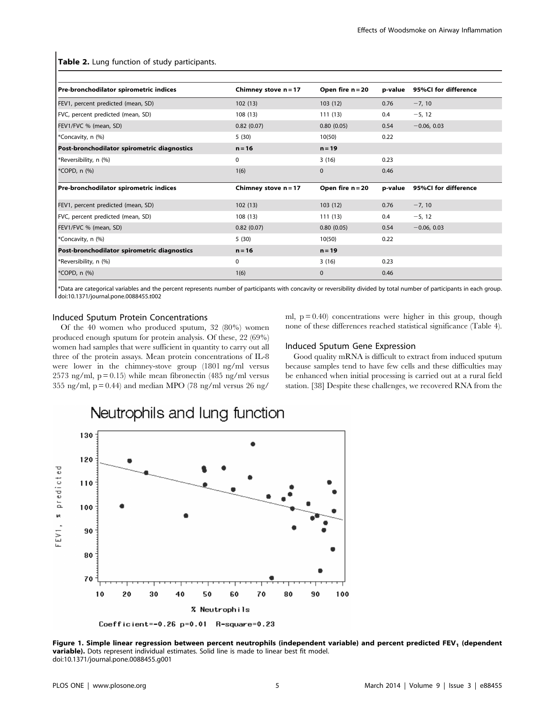Table 2. Lung function of study participants.

| Pre-bronchodilator spirometric indices      | Chimney stove $n = 17$ | Open fire $n = 20$ | p-value | 95%CI for difference |
|---------------------------------------------|------------------------|--------------------|---------|----------------------|
| FEV1, percent predicted (mean, SD)          | 102(13)                | 103(12)            | 0.76    | $-7, 10$             |
| FVC, percent predicted (mean, SD)           | 108(13)                | 111(13)            | 0.4     | $-5, 12$             |
| FEV1/FVC % (mean, SD)                       | 0.82(0.07)             | 0.80(0.05)         | 0.54    | $-0.06, 0.03$        |
| *Concavity, n (%)                           | 5(30)                  | 10(50)             | 0.22    |                      |
| Post-bronchodilator spirometric diagnostics | $n = 16$               | $n = 19$           |         |                      |
| *Reversibility, n (%)                       | 0                      | 3(16)              | 0.23    |                      |
| *COPD, n (%)                                | 1(6)                   | $\mathbf 0$        | 0.46    |                      |
| Pre-bronchodilator spirometric indices      | Chimney stove $n = 17$ | Open fire $n = 20$ | p-value | 95%CI for difference |
| FEV1, percent predicted (mean, SD)          | 102(13)                | 103(12)            | 0.76    | $-7, 10$             |
| FVC, percent predicted (mean, SD)           | 108(13)                | 111(13)            | 0.4     | $-5, 12$             |
| FEV1/FVC % (mean, SD)                       | 0.82(0.07)             | 0.80(0.05)         | 0.54    | $-0.06, 0.03$        |
| *Concavity, n (%)                           | 5(30)                  | 10(50)             | 0.22    |                      |
| Post-bronchodilator spirometric diagnostics | $n = 16$               | $n = 19$           |         |                      |
| *Reversibility, n (%)                       | 0                      | 3(16)              | 0.23    |                      |
| *COPD, n (%)                                | 1(6)                   | $\mathbf{0}$       | 0.46    |                      |

\*Data are categorical variables and the percent represents number of participants with concavity or reversibility divided by total number of participants in each group. doi:10.1371/journal.pone.0088455.t002

## Induced Sputum Protein Concentrations

Of the 40 women who produced sputum, 32 (80%) women produced enough sputum for protein analysis. Of these, 22 (69%) women had samples that were sufficient in quantity to carry out all three of the protein assays. Mean protein concentrations of IL-8 were lower in the chimney-stove group (1801 ng/ml versus 2573 ng/ml,  $p = 0.15$ ) while mean fibronectin (485 ng/ml versus 355 ng/ml,  $p = 0.44$ ) and median MPO (78 ng/ml versus 26 ng/

ml,  $p = 0.40$  concentrations were higher in this group, though none of these differences reached statistical significance (Table 4).

#### Induced Sputum Gene Expression

Good quality mRNA is difficult to extract from induced sputum because samples tend to have few cells and these difficulties may be enhanced when initial processing is carried out at a rural field station. [38] Despite these challenges, we recovered RNA from the



Neutrophils and lung function

Figure 1. Simple linear regression between percent neutrophils (independent variable) and percent predicted FEV<sub>1</sub> (dependent variable). Dots represent individual estimates. Solid line is made to linear best fit model. doi:10.1371/journal.pone.0088455.g001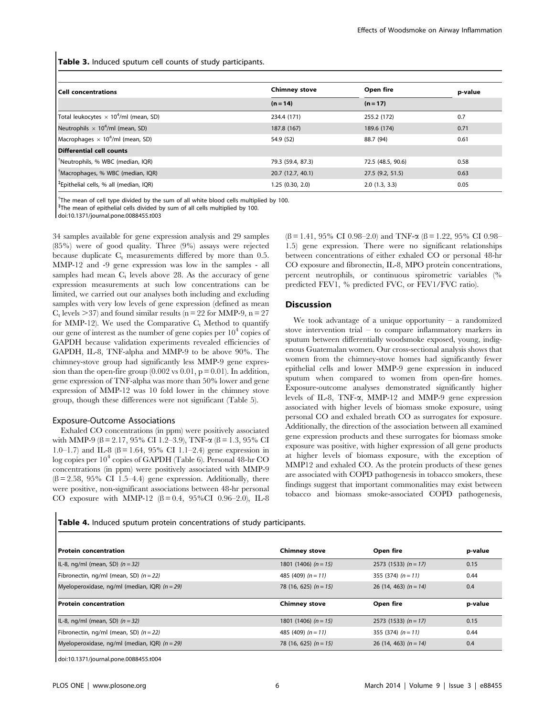Table 3. Induced sputum cell counts of study participants.

| <b>Cell concentrations</b>                               | <b>Chimney stove</b> | Open fire         | p-value |
|----------------------------------------------------------|----------------------|-------------------|---------|
|                                                          | $(n = 14)$           | $(n = 17)$        |         |
| Total leukocytes $\times$ 10 <sup>4</sup> /ml (mean, SD) | 234.4 (171)          | 255.2 (172)       | 0.7     |
| Neutrophils $\times$ 10 <sup>4</sup> /ml (mean, SD)      | 187.8 (167)          | 189.6 (174)       | 0.71    |
| Macrophages $\times$ 10 <sup>4</sup> /ml (mean, SD)      | 54.9 (52)            | 88.7 (94)         | 0.61    |
| <b>Differential cell counts</b>                          |                      |                   |         |
| <sup>†</sup> Neutrophils, % WBC (median, IQR)            | 79.3 (59.4, 87.3)    | 72.5 (48.5, 90.6) | 0.58    |
| Macrophages, % WBC (median, IQR)                         | 20.7 (12.7, 40.1)    | 27.5 (9.2, 51.5)  | 0.63    |
| <sup>‡</sup> Epithelial cells, % all (median, IQR)       | 1.25(0.30, 2.0)      | 2.0(1.3, 3.3)     | 0.05    |

 $\dagger$ The mean of cell type divided by the sum of all white blood cells multiplied by 100.

<sup>‡</sup>The mean of epithelial cells divided by sum of all cells multiplied by 100.

doi:10.1371/journal.pone.0088455.t003

34 samples available for gene expression analysis and 29 samples (85%) were of good quality. Three (9%) assays were rejected because duplicate  $C_t$  measurements differed by more than 0.5. MMP-12 and -9 gene expression was low in the samples - all samples had mean  $C_t$  levels above 28. As the accuracy of gene expression measurements at such low concentrations can be limited, we carried out our analyses both including and excluding samples with very low levels of gene expression (defined as mean  $C_t$  levels  $>37$ ) and found similar results (n = 22 for MMP-9, n = 27 for MMP-12). We used the Comparative  $C_t$  Method to quantify our gene of interest as the number of gene copies per  $10<sup>4</sup>$  copies of GAPDH because validation experiments revealed efficiencies of GAPDH, IL-8, TNF-alpha and MMP-9 to be above 90%. The chimney-stove group had significantly less MMP-9 gene expression than the open-fire group  $(0.002 \text{ vs } 0.01, \text{ p} = 0.01)$ . In addition, gene expression of TNF-alpha was more than 50% lower and gene expression of MMP-12 was 10 fold lower in the chimney stove group, though these differences were not significant (Table 5).

#### Exposure-Outcome Associations

Exhaled CO concentrations (in ppm) were positively associated with MMP-9 ( $\beta$  = 2.17, 95% CI 1.2–3.9), TNF- $\alpha$  ( $\beta$  = 1.3, 95% CI 1.0–1.7) and IL-8 ( $\beta$  = 1.64, 95% CI 1.1–2.4) gene expression in log copies per  $10^4$  copies of GAPDH (Table 6). Personal 48-hr CO concentrations (in ppm) were positively associated with MMP-9  $( \beta = 2.58, 95\% \text{ CI } 1.5-4.4)$  gene expression. Additionally, there were positive, non-significant associations between 48-hr personal CO exposure with MMP-12  $(8 = 0.4, 95\%$ CI 0.96–2.0), IL-8  $(\beta = 1.41, 95\% \text{ CI } 0.98-2.0)$  and TNF- $\alpha$  ( $\beta = 1.22, 95\% \text{ CI } 0.98-$ 1.5) gene expression. There were no significant relationships between concentrations of either exhaled CO or personal 48-hr CO exposure and fibronectin, IL-8, MPO protein concentrations, percent neutrophils, or continuous spirometric variables (% predicted FEV1, % predicted FVC, or FEV1/FVC ratio).

## Discussion

We took advantage of a unique opportunity  $-$  a randomized stove intervention trial – to compare inflammatory markers in sputum between differentially woodsmoke exposed, young, indigenous Guatemalan women. Our cross-sectional analysis shows that women from the chimney-stove homes had significantly fewer epithelial cells and lower MMP-9 gene expression in induced sputum when compared to women from open-fire homes. Exposure-outcome analyses demonstrated significantly higher levels of IL-8, TNF-a, MMP-12 and MMP-9 gene expression associated with higher levels of biomass smoke exposure, using personal CO and exhaled breath CO as surrogates for exposure. Additionally, the direction of the association between all examined gene expression products and these surrogates for biomass smoke exposure was positive, with higher expression of all gene products at higher levels of biomass exposure, with the exception of MMP12 and exhaled CO. As the protein products of these genes are associated with COPD pathogenesis in tobacco smokers, these findings suggest that important commonalities may exist between tobacco and biomass smoke-associated COPD pathogenesis,

Table 4. Induced sputum protein concentrations of study participants.

| l Protein concentration                         | <b>Chimney stove</b>    | Open fire                | p-value |
|-------------------------------------------------|-------------------------|--------------------------|---------|
| IL-8, ng/ml (mean, SD) $(n=32)$                 | 1801 (1406) $(n = 15)$  | $2573$ (1533) $(n = 17)$ | 0.15    |
| Fibronectin, ng/ml (mean, SD) $(n = 22)$        | 485 (409) $(n = 11)$    | 355 (374) $(n = 11)$     | 0.44    |
| Myeloperoxidase, ng/ml (median, IQR) $(n = 29)$ | 78 (16, 625) $(n = 15)$ | 26 (14, 463) $(n = 14)$  | 0.4     |
| l Protein concentration                         | <b>Chimney stove</b>    | Open fire                | p-value |
| IL-8, ng/ml (mean, SD) $(n = 32)$               | 1801 (1406) $(n = 15)$  | $2573$ (1533) (n = 17)   | 0.15    |
| Fibronectin, ng/ml (mean, SD) $(n = 22)$        | 485 (409) $(n = 11)$    | 355 (374) $(n = 11)$     | 0.44    |
|                                                 |                         |                          |         |

doi:10.1371/journal.pone.0088455.t004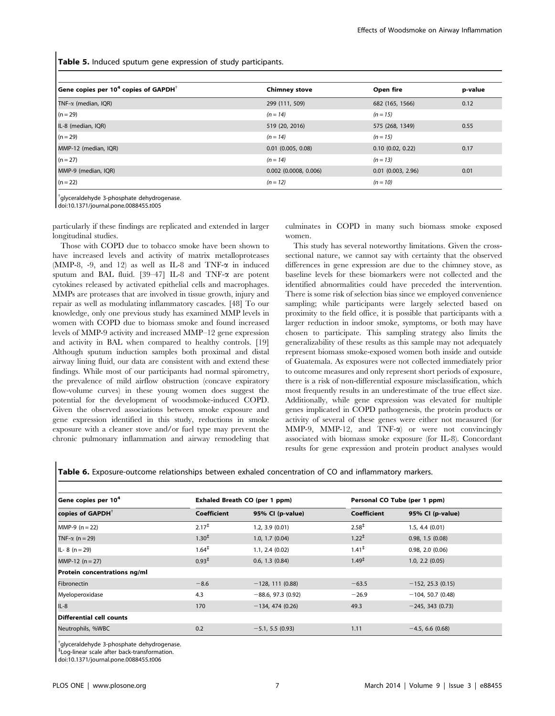Table 5. Induced sputum gene expression of study participants.

| Gene copies per $104$ copies of GAPDH <sup><math>\dagger</math></sup> | <b>Chimney stove</b>    | Open fire             | p-value |
|-----------------------------------------------------------------------|-------------------------|-----------------------|---------|
| $TNF-\alpha$ (median, IQR)                                            | 299 (111, 509)          | 682 (165, 1566)       | 0.12    |
| $(n = 29)$                                                            | $(n = 14)$              | $(n = 15)$            |         |
| IL-8 (median, IQR)                                                    | 519 (20, 2016)          | 575 (268, 1349)       | 0.55    |
| $(n = 29)$                                                            | $(n = 14)$              | $(n = 15)$            |         |
| MMP-12 (median, IQR)                                                  | $0.01$ (0.005, 0.08)    | $0.10$ $(0.02, 0.22)$ | 0.17    |
| $(n = 27)$                                                            | $(n = 14)$              | $(n = 13)$            |         |
| MMP-9 (median, IQR)                                                   | $0.002$ (0.0008, 0.006) | $0.01$ (0.003, 2.96)  | 0.01    |
| $(n = 22)$                                                            | $(n = 12)$              | $(n = 10)$            |         |

{ glyceraldehyde 3-phosphate dehydrogenase. doi:10.1371/journal.pone.0088455.t005

particularly if these findings are replicated and extended in larger longitudinal studies.

Those with COPD due to tobacco smoke have been shown to have increased levels and activity of matrix metalloproteases (MMP-8, -9, and 12) as well as IL-8 and TNF- $\alpha$  in induced sputum and BAL fluid. [39-47] IL-8 and TNF- $\alpha$  are potent cytokines released by activated epithelial cells and macrophages. MMPs are proteases that are involved in tissue growth, injury and repair as well as modulating inflammatory cascades. [48] To our knowledge, only one previous study has examined MMP levels in women with COPD due to biomass smoke and found increased levels of MMP-9 activity and increased MMP–12 gene expression and activity in BAL when compared to healthy controls. [19] Although sputum induction samples both proximal and distal airway lining fluid, our data are consistent with and extend these findings. While most of our participants had normal spirometry, the prevalence of mild airflow obstruction (concave expiratory flow-volume curves) in these young women does suggest the potential for the development of woodsmoke-induced COPD. Given the observed associations between smoke exposure and gene expression identified in this study, reductions in smoke exposure with a cleaner stove and/or fuel type may prevent the chronic pulmonary inflammation and airway remodeling that

culminates in COPD in many such biomass smoke exposed women.

This study has several noteworthy limitations. Given the crosssectional nature, we cannot say with certainty that the observed differences in gene expression are due to the chimney stove, as baseline levels for these biomarkers were not collected and the identified abnormalities could have preceded the intervention. There is some risk of selection bias since we employed convenience sampling; while participants were largely selected based on proximity to the field office, it is possible that participants with a larger reduction in indoor smoke, symptoms, or both may have chosen to participate. This sampling strategy also limits the generalizability of these results as this sample may not adequately represent biomass smoke-exposed women both inside and outside of Guatemala. As exposures were not collected immediately prior to outcome measures and only represent short periods of exposure, there is a risk of non-differential exposure misclassification, which most frequently results in an underestimate of the true effect size. Additionally, while gene expression was elevated for multiple genes implicated in COPD pathogenesis, the protein products or activity of several of these genes were either not measured (for MMP-9, MMP-12, and TNF- $\alpha$ ) or were not convincingly associated with biomass smoke exposure (for IL-8). Concordant results for gene expression and protein product analyses would

Table 6. Exposure-outcome relationships between exhaled concentration of CO and inflammatory markers.

| Gene copies per 10 <sup>4</sup> | Exhaled Breath CO (per 1 ppm) |                      | Personal CO Tube (per 1 ppm) |                     |  |
|---------------------------------|-------------------------------|----------------------|------------------------------|---------------------|--|
| copies of GAPDH <sup>†</sup>    | <b>Coefficient</b>            | 95% CI (p-value)     | Coefficient                  | 95% CI (p-value)    |  |
| $MMP-9 (n = 22)$                | $2.17^{\ddagger}$             | 1.2, 3.9(0.01)       | $2.58^{\ddagger}$            | $1.5, 4.4$ (0.01)   |  |
| TNF- $\alpha$ (n = 29)          | $1.30^{\ddagger}$             | 1.0, 1.7(0.04)       | $1.22^{\ddagger}$            | 0.98, 1.5(0.08)     |  |
| $IL - 8 (n = 29)$               | $1.64^{\ddagger}$             | 1.1, 2.4 (0.02)      | $1.41^{\ddagger}$            | 0.98, 2.0 (0.06)    |  |
| $MMP-12 (n=27)$                 | $0.93^{\ddagger}$             | 0.6, 1.3(0.84)       | $1.49^{\ddagger}$            | 1.0, 2.2 (0.05)     |  |
| Protein concentrations ng/ml    |                               |                      |                              |                     |  |
| <b>Fibronectin</b>              | $-8.6$                        | $-128, 111(0.88)$    | $-63.5$                      | $-152, 25.3$ (0.15) |  |
| Myeloperoxidase                 | 4.3                           | $-88.6, 97.3$ (0.92) | $-26.9$                      | $-104, 50.7$ (0.48) |  |
| $IL-8$                          | 170                           | $-134, 474$ (0.26)   | 49.3                         | $-245, 343(0.73)$   |  |
| Differential cell counts        |                               |                      |                              |                     |  |
| Neutrophils, %WBC               | 0.2                           | $-5.1, 5.5$ (0.93)   | 1.11                         | $-4.5, 6.6$ (0.68)  |  |

{ glyceraldehyde 3-phosphate dehydrogenase.

` Log-linear scale after back-transformation.

doi:10.1371/journal.pone.0088455.t006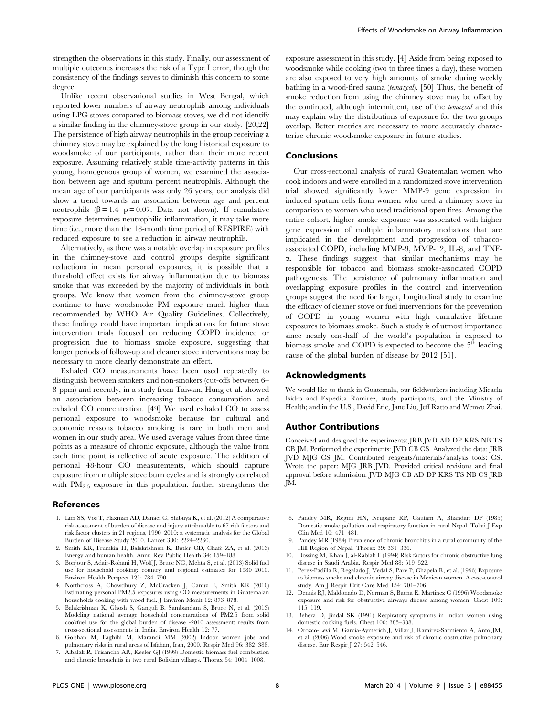strengthen the observations in this study. Finally, our assessment of multiple outcomes increases the risk of a Type I error, though the consistency of the findings serves to diminish this concern to some degree.

Unlike recent observational studies in West Bengal, which reported lower numbers of airway neutrophils among individuals using LPG stoves compared to biomass stoves, we did not identify a similar finding in the chimney-stove group in our study. [20,22] The persistence of high airway neutrophils in the group receiving a chimney stove may be explained by the long historical exposure to woodsmoke of our participants, rather than their more recent exposure. Assuming relatively stable time-activity patterns in this young, homogenous group of women, we examined the association between age and sputum percent neutrophils. Although the mean age of our participants was only 26 years, our analysis did show a trend towards an association between age and percent neutrophils  $(\beta = 1.4 \text{ p} = 0.07)$ . Data not shown). If cumulative exposure determines neutrophilic inflammation, it may take more time (i.e., more than the 18-month time period of RESPIRE) with reduced exposure to see a reduction in airway neutrophils.

Alternatively, as there was a notable overlap in exposure profiles in the chimney-stove and control groups despite significant reductions in mean personal exposures, it is possible that a threshold effect exists for airway inflammation due to biomass smoke that was exceeded by the majority of individuals in both groups. We know that women from the chimney-stove group continue to have woodsmoke PM exposure much higher than recommended by WHO Air Quality Guidelines. Collectively, these findings could have important implications for future stove intervention trials focused on reducing COPD incidence or progression due to biomass smoke exposure, suggesting that longer periods of follow-up and cleaner stove interventions may be necessary to more clearly demonstrate an effect.

Exhaled CO measurements have been used repeatedly to distinguish between smokers and non-smokers (cut-offs between 6– 8 ppm) and recently, in a study from Taiwan, Hung et al. showed an association between increasing tobacco consumption and exhaled CO concentration. [49] We used exhaled CO to assess personal exposure to woodsmoke because for cultural and economic reasons tobacco smoking is rare in both men and women in our study area. We used average values from three time points as a measure of chronic exposure, although the value from each time point is reflective of acute exposure. The addition of personal 48-hour CO measurements, which should capture exposure from multiple stove burn cycles and is strongly correlated with  $PM_{2.5}$  exposure in this population, further strengthens the

## References

- 1. Lim SS, Vos T, Flaxman AD, Danaei G, Shibuya K, et al. (2012) A comparative risk assessment of burden of disease and injury attributable to 67 risk factors and risk factor clusters in 21 regions, 1990–2010: a systematic analysis for the Global Burden of Disease Study 2010. Lancet 380: 2224–2260.
- 2. Smith KR, Frumkin H, Balakrishnan K, Butler CD, Chafe ZA, et al. (2013) Energy and human health. Annu Rev Public Health 34: 159–188.
- 3. Bonjour S, Adair-Rohani H, Wolf J, Bruce NG, Mehta S, et al. (2013) Solid fuel use for household cooking: country and regional estimates for 1980–2010. Environ Health Perspect 121: 784–790.
- 4. Northcross A, Chowdhury Z, McCracken J, Canuz E, Smith KR (2010) Estimating personal PM2.5 exposures using CO measurements in Guatemalan households cooking with wood fuel. J Environ Monit 12: 873–878.
- 5. Balakrishnan K, Ghosh S, Ganguli B, Sambandam S, Bruce N, et al. (2013) Modeling national average household concentrations of PM2.5 from solid cookfuel use for the global burden of disease -2010 assessment: results from cross-sectional assessments in India. Environ Health 12: 77.
- 6. Golshan M, Faghihi M, Marandi MM (2002) Indoor women jobs and pulmonary risks in rural areas of Isfahan, Iran, 2000. Respir Med 96: 382–388.
- 7. Albalak R, Frisancho AR, Keeler GJ (1999) Domestic biomass fuel combustion and chronic bronchitis in two rural Bolivian villages. Thorax 54: 1004–1008.

exposure assessment in this study. [4] Aside from being exposed to woodsmoke while cooking (two to three times a day), these women are also exposed to very high amounts of smoke during weekly bathing in a wood-fired sauna (temazcal). [50] Thus, the benefit of smoke reduction from using the chimney stove may be offset by the continued, although intermittent, use of the temazcal and this may explain why the distributions of exposure for the two groups overlap. Better metrics are necessary to more accurately characterize chronic woodsmoke exposure in future studies.

#### Conclusions

Our cross-sectional analysis of rural Guatemalan women who cook indoors and were enrolled in a randomized stove intervention trial showed significantly lower MMP-9 gene expression in induced sputum cells from women who used a chimney stove in comparison to women who used traditional open fires. Among the entire cohort, higher smoke exposure was associated with higher gene expression of multiple inflammatory mediators that are implicated in the development and progression of tobaccoassociated COPD, including MMP-9, MMP-12, IL-8, and TNFa. These findings suggest that similar mechanisms may be responsible for tobacco and biomass smoke-associated COPD pathogenesis. The persistence of pulmonary inflammation and overlapping exposure profiles in the control and intervention groups suggest the need for larger, longitudinal study to examine the efficacy of cleaner stove or fuel interventions for the prevention of COPD in young women with high cumulative lifetime exposures to biomass smoke. Such a study is of utmost importance since nearly one-half of the world's population is exposed to biomass smoke and COPD is expected to become the  $5<sup>th</sup>$  leading cause of the global burden of disease by 2012 [51].

## Acknowledgments

We would like to thank in Guatemala, our fieldworkers including Micaela Isidro and Expedita Ramirez, study participants, and the Ministry of Health; and in the U.S., David Erle, Jane Liu, Jeff Ratto and Wenwu Zhai.

#### Author Contributions

Conceived and designed the experiments: JRB JVD AD DP KRS NB TS CB JM. Performed the experiments: JVD CB CS. Analyzed the data: JRB JVD MJG CS JM. Contributed reagents/materials/analysis tools: CS. Wrote the paper: MJG JRB JVD. Provided critical revisions and final approval before submission: JVD MJG CB AD DP KRS TS NB CS JRB JM.

- 8. Pandey MR, Regmi HN, Neupane RP, Gautam A, Bhandari DP (1985) Domestic smoke pollution and respiratory function in rural Nepal. Tokai J Exp Clin Med 10: 471–481.
- 9. Pandey MR (1984) Prevalence of chronic bronchitis in a rural community of the Hill Region of Nepal. Thorax 39: 331–336.
- 10. Dossing M, Khan J, al-Rabiah F (1994) Risk factors for chronic obstructive lung disease in Saudi Arabia. Respir Med 88: 519–522.
- 11. Perez-Padilla R, Regalado J, Vedal S, Pare P, Chapela R, et al. (1996) Exposure to biomass smoke and chronic airway disease in Mexican women. A case-control study. Am J Respir Crit Care Med 154: 701–706.
- 12. Dennis RJ, Maldonado D, Norman S, Baena E, Martinez G (1996) Woodsmoke exposure and risk for obstructive airways disease among women. Chest 109: 115–119.
- 13. Behera D, Jindal SK (1991) Respiratory symptoms in Indian women using domestic cooking fuels. Chest 100: 385–388.
- 14. Orozco-Levi M, Garcia-Aymerich J, Villar J, Ramirez-Sarmiento A, Anto JM, et al. (2006) Wood smoke exposure and risk of chronic obstructive pulmonary disease. Eur Respir J 27: 542–546.